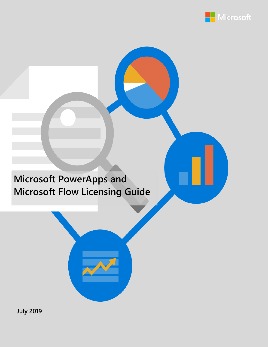

# **Microsoft PowerApps and Microsoft Flow Licensing Guide**



**July 2019**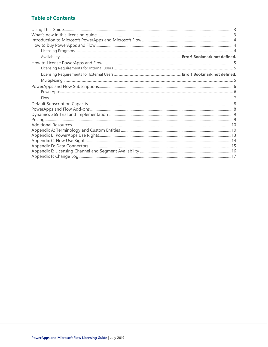### **Table of Contents**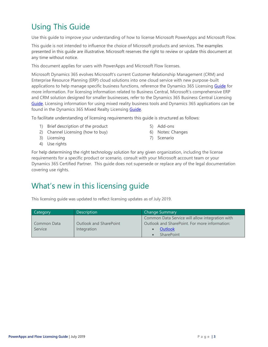## <span id="page-2-0"></span>Using This Guide

Use this guide to improve your understanding of how to license Microsoft PowerApps and Microsoft Flow.

This guide is not intended to influence the choice of Microsoft products and services. The examples presented in this guide are illustrative. Microsoft reserves the right to review or update this document at any time without notice.

This document applies for users with PowerApps and Microsoft Flow licenses.

Microsoft Dynamics 365 evolves Microsoft's current Customer Relationship Management (CRM) and Enterprise Resource Planning (ERP) cloud solutions into one cloud service with new purpose-built applications to help manage specific business functions, reference the Dynamics 365 Licensing [Guide](https://go.microsoft.com/fwlink/?LinkId=866544&clcid=0x409) for more information. For licensing information related to Business Central, Microsoft's comprehensive ERP and CRM solution designed for smaller businesses, refer to the Dynamics 365 Business Central Licensing [Guide.](https://go.microsoft.com/fwlink/?LinkId=871590&clcid=0x409) Licensing information for using mixed reality business tools and Dynamics 365 applications can be found in the Dynamics 365 Mixed Realty Licensing **Guide**.

To facilitate understanding of licensing requirements this guide is structured as follows:

- 1) Brief description of the product
- 2) Channel Licensing (how to buy)
- 3) Licensing
- 4) Use rights
- 5) Add-ons
- 6) Notes: Changes
- 7) Scenario

For help determining the right technology solution for any given organization, including the license requirements for a specific product or scenario, consult with your Microsoft account team or your Dynamics 365 Certified Partner. This guide does not supersede or replace any of the legal documentation covering use rights.

### <span id="page-2-1"></span>What's new in this licensing guide

This licensing guide was updated to reflect licensing updates as of July 2019.

| Category               | Description                                  | <b>Change Summary</b>                                                                                                            |
|------------------------|----------------------------------------------|----------------------------------------------------------------------------------------------------------------------------------|
| Common Data<br>Service | <b>Outlook and SharePoint</b><br>Integration | Common Data Service will allow integration with<br>Outlook and SharePoint. For more information:<br>Outlook<br><b>SharePoint</b> |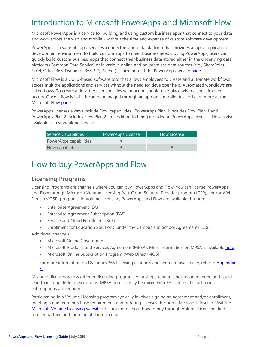## <span id="page-3-0"></span>Introduction to Microsoft PowerApps and Microsoft Flow

Microsoft PowerApps is a service for building and using custom business apps that connect to your data and work across the web and mobile - without the time and expense of custom software development.

PowerApps is a suite of apps, services, connectors and data platform that provides a rapid application development environment to build custom apps to meet business needs. Using PowerApps, users can quickly build custom business apps that connect their business data stored either in the underlying data platform (Common Data Service) or in various online and on-premises data sources (e.g., SharePoint, Excel, Office 365, Dynamics 365, SQL Server). Learn more at the PowerApps service [page.](https://powerapps.microsoft.com/en-us/)

Microsoft Flow is a cloud-based software tool that allows employees to create and automate workflows across multiple applications and services without the need for developer help. Automated workflows are called flows. To create a flow, the user specifies what action should take place when a specific event occurs. Once a flow is built, it can be managed through an app on a mobile device. Learn more at the Microsoft Flow [page.](https://flow.microsoft.com/en-us/)

PowerApps licenses always include Flow capabilities. PowerApps Plan 1 includes Flow Plan 1 and PowerApps Plan 2 includes Flow Plan 2. In addition to being included in PowerApps licenses, Flow is also available as a standalone service.

| Service Capabilities   | PowerApps License | <b>Flow License</b> |
|------------------------|-------------------|---------------------|
| PowerApps capabilities |                   |                     |
| Flow capabilities      |                   |                     |

### <span id="page-3-1"></span>How to buy PowerApps and Flow

### <span id="page-3-2"></span>**Licensing Programs**

Licensing Programs are channels where you can buy PowerApps and Flow. You can license PowerApps and Flow through Microsoft Volume Licensing (VL), Cloud Solution Provider program (CSP), and/or Web Direct (MOSP) programs. In Volume Licensing, PowerApps and Flow are available through:

- Enterprise Agreement (EA)
- Enterprise Agreement Subscription (EAS)
- Service and Cloud Enrollment (SCE)
- Enrollment for Education Solutions (under the Campus and School Agreement) (EES)

Additional channels:

- Microsoft Online Government
- Microsoft Products and Services Agreement (MPSA). More information on MPSA is available [here.](https://www.microsoft.com/en-us/Licensing/licensing-programs/licensing-programs.aspx)
- Microsoft Online Subscription Program (Web Direct/MOSP)

For more information on Dynamics 365 licensing channels and segment availability, refer to Appendix [E.](#page-14-0)

Mixing of licenses across different licensing programs on a single tenant is not recommended and could lead to incompatible subscriptions. MPSA licenses may be mixed with EA licenses if short term subscriptions are required.

Participating in a Volume Licensing program typically involves signing an agreement and/or enrollment, meeting a minimum purchase requirement, and ordering licenses through a Microsoft Reseller. Visit the [Microsoft Volume Licensing website](https://www.microsoft.com/en-us/licensing/how-to-buy/how-to-buy) to learn more about how to buy through Volume Licensing, find a reseller partner, and more helpful information.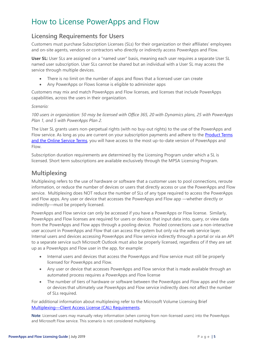## <span id="page-4-0"></span>How to License PowerApps and Flow

### <span id="page-4-1"></span>**Licensing Requirements for Users**

Customers must purchase Subscription Licenses (SLs) for their organization or their affiliates' employees and on-site agents, vendors or contractors who directly or indirectly access PowerApps and Flow.

**User SL:** User SLs are assigned on a "named user" basis, meaning each user requires a separate User SL named user subscription. User SLs cannot be shared but an individual with a User SL may access the service through multiple devices.

- There is no limit on the number of apps and flows that a licensed user can create
- Any PowerApps or Flows license is eligible to administer apps

Customers may mix and match PowerApps and Flow licenses, and licenses that include PowerApps capabilities, across the users in their organization.

#### *Scenario:*

*100 users in organization: 50 may be licensed with Office 365, 20 with Dynamics plans, 25 with PowerApps Plan 1, and 5 with PowerApps Plan 2.*

The User SL grants users non-perpetual rights (with no buy-out rights) to the use of the PowerApps and Flow service. As long as you are current on your subscription payments and adhere to the **Product Terms** [and the Online Service Terms](https://www.microsoft.com/en-us/Licensing/product-licensing/products.aspx), you will have access to the most up-to-date version of PowerApps and Flow.

Subscription duration requirements are determined by the Licensing Program under which a SL is licensed. Short term subscriptions are available exclusively through the MPSA Licensing Program.

### <span id="page-4-2"></span>**Multiplexing**

Multiplexing refers to the use of hardware or software that a customer uses to pool connections, reroute information, or reduce the number of devices or users that directly access or use the PowerApps and Flow service. Multiplexing does NOT reduce the number of SLs of any type required to access the PowerApps and Flow apps. Any user or device that accesses the PowerApps and Flow app —whether directly or indirectly—must be properly licensed.

PowerApps and Flow service can only be accessed if you have a PowerApps or Flow license. Similarly, PowerApps and Flow licenses are required for users or devices that input data into, query, or view data from the PowerApps and Flow apps through a pooling device. Pooled connections use a non-interactive user account in PowerApps and Flow that can access the system but only via the web service layer. Internal users and devices accessing PowerApps and Flow service indirectly through a portal or via an API to a separate service such Microsoft Outlook must also be properly licensed, regardless of if they are set up as a PowerApps and Flow user in the app, for example:

- Internal users and devices that access the PowerApps and Flow service must still be properly licensed for PowerApps and Flow.
- Any user or device that accesses PowerApps and Flow service that is made available through an automated process requires a PowerApps and Flow license
- The number of tiers of hardware or software between the PowerApps and Flow apps and the user or devices that ultimately use PowerApps and Flow service indirectly does not affect the number of SLs required.

For additional information about multiplexing refer to the Microsoft Volume Licensing Brief Multiplexing—[Client Access License \(CAL\) Requirements.](http://download.microsoft.com/download/8/7/3/8733d036-92b0-4cb8-8912-3b6ab966b8b2/multiplexing.pdf)

**Note**: Licensed users may manually rekey information (when coming from non-licensed users) into the PowerApps and Microsoft Flow service. This scenario is not considered multiplexing.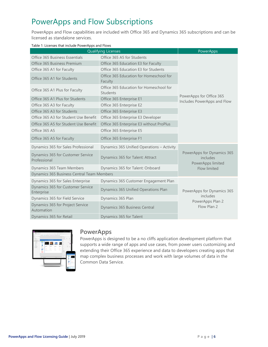## <span id="page-5-0"></span>PowerApps and Flow Subscriptions

PowerApps and Flow capabilities are included with Office 365 and Dynamics 365 subscriptions and can be licensed as standalone services.

| <b>Qualifying Licenses</b>                        |                                                     | PowerApps                                                   |  |
|---------------------------------------------------|-----------------------------------------------------|-------------------------------------------------------------|--|
| Office 365 Business Essentials                    | Office 365 A5 for Students                          |                                                             |  |
| Office 365 Business Premium                       | Office 365 Education E3 for Faculty                 |                                                             |  |
| Office 365 A1 for Faculty                         | Office 365 Education E3 for Students                |                                                             |  |
| Office 365 A1 for Students                        | Office 365 Education for Homeschool for<br>Faculty  |                                                             |  |
| Office 365 A1 Plus for Faculty                    | Office 365 Education for Homeschool for<br>Students |                                                             |  |
| Office 365 A1 Plus for Students                   | Office 365 Enterprise E1                            | PowerApps for Office 365<br>Includes PowerApps and Flow     |  |
| Office 365 A3 for Faculty                         | Office 365 Enterprise E2                            |                                                             |  |
| Office 365 A3 for Students                        | Office 365 Enterprise E3                            |                                                             |  |
| Office 365 A3 for Student Use Benefit             | Office 365 Enterprise E3 Developer                  |                                                             |  |
| Office 365 A5 for Student Use Benefit             | Office 365 Enterprise E3 without ProPlus            |                                                             |  |
| Office 365 A5                                     | Office 365 Enterprise E5                            |                                                             |  |
| Office 365 A5 for Faculty                         | Office 365 Enterprise F1                            |                                                             |  |
| Dynamics 365 for Sales Professional               | Dynamics 365 Unified Operations - Activity          |                                                             |  |
| Dynamics 365 for Customer Service<br>Professional | Dynamics 365 for Talent: Attract                    | PowerApps for Dynamics 365<br>includes<br>PowerApps limited |  |
| Dynamics 365 Team Members                         | Dynamics 365 for Talent: Onboard                    | Flow limited                                                |  |
| Dynamics 365 Business Central Team Members        |                                                     |                                                             |  |
| Dynamics 365 for Sales Enterprise                 | Dynamics 365 Customer Engagement Plan               |                                                             |  |
| Dynamics 365 for Customer Service<br>Enterprise   | Dynamics 365 Unified Operations Plan                | PowerApps for Dynamics 365                                  |  |
| Dynamics 365 for Field Service                    | Dynamics 365 Plan                                   | includes                                                    |  |
| Dynamics 365 for Project Service<br>Automation    | Dynamics 365 Business Central                       | PowerApps Plan 2<br>Flow Plan 2                             |  |
| Dynamics 365 for Retail                           | Dynamics 365 for Talent                             |                                                             |  |

#### Table 1: Licenses that include PowerApps and Flows



#### <span id="page-5-1"></span>**PowerApps**

PowerApps is designed to be a no cliffs application development platform that supports a wide range of apps and use cases, from power users customizing and extending their Office 365 experience and data to developers creating apps that map complex business processes and work with large volumes of data in the Common Data Service.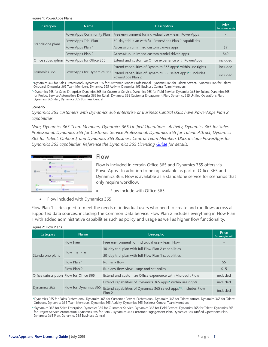#### Figure 1: PowerApps Plans

| Category         | <b>Name</b>                                  | <b>Description</b>                                                              | Price<br>Per user/month |
|------------------|----------------------------------------------|---------------------------------------------------------------------------------|-------------------------|
|                  |                                              | PowerApps Community Plan Free environment for individual use - learn PowerApps  |                         |
|                  | PowerApps Trial Plan                         | 30-day trial plan with full PowerApps Plan 2 capabilities                       |                         |
| Standalone plans | PowerApps Plan 1                             | Access/run unlimited custom canvas apps                                         | \$7                     |
|                  | PowerApps Plan 2                             | Access/run unlimited custom model driven apps                                   | \$40                    |
|                  | Office subscription PowerApps for Office 365 | Extend and customize Office experience with PowerApps                           | included                |
|                  |                                              | Extend capabilities of Dynamics 365 apps* within use rights                     | included                |
| Dynamics 365     | PowerApps for Dynamics 365                   | Extend capabilities of Dynamics 365 select apps**, includes<br>PowerApps Plan 2 | included                |

\*Dynamics 365 for Sales Professional, Dynamics 365 for Customer Service Professional, Dynamics 365 for Talent: Attract, Dynamics 365 for Talent: Onboard, Dynamics 365 Team Members, Dynamics 365 Activity, Dynamics 365 Business Central Team Members

\*\*Dynamics 365 for Sales Enterprise, Dynamics 365 for Customer Service, Dynamics 365 for Field Service, Dynamics 365 for Talent, Dynamics 365 for Project Service Automation, Dynamics 365 for Retail, Dynamics 365 Customer Engagement Plan, Dynamics 365 Unified Operations Plan, Dynamics 365 Plan, Dynamics 365 Business Central

#### Scenario:

*Dynamics 365 customers with Dynamics 365 enterprise or Business Central USLs have PowerApps Plan 2 capabilities.*

*Note, Dynamics 365 Team Members, Dynamics 365 Unified Operations- Activity, Dynamics 365 for Sales Professional, Dynamics 365 for Customer Service Professional, Dynamics 365 for Talent: Attract, Dynamics 365 for Talent: Onboard, and Dynamics 365 Business Central Team Members USLs include PowerApps for Dynamics 365 capabilities. Reference the Dynamics 365 Licensing [Guide](https://go.microsoft.com/fwlink/?LinkId=866544&clcid=0x409) for details.*



#### <span id="page-6-0"></span>**Flow**

Flow is included in certain Office 365 and Dynamics 365 offers via PowerApps. In addition to being available as part of Office 365 and Dynamics 365, Flow is available as a standalone service for scenarios that only require workflow.

- Flow include with Office 365
- Flow included with Dynamics 365

Flow Plan 1 is designed to meet the needs of individual users who need to create and run flows across all supported data sources, including the Common Data Service. Flow Plan 2 includes everything in Flow Plan 1 with added administrative capabilities such as policy and usage as well as higher flow functionality.

| Category                              | <b>Name</b>                                                                | <b>Description</b>                                          | Price<br>Per user/month |
|---------------------------------------|----------------------------------------------------------------------------|-------------------------------------------------------------|-------------------------|
|                                       | <b>Flow Free</b>                                                           | Free environment for individual use – learn Flow            |                         |
|                                       | 30-day trial plan with full Flow Plan 2 capabilities                       |                                                             |                         |
| Standalone plans                      | <b>Flow Trial Plan</b>                                                     | 30-day trial plan with full Flow Plan 1 capabilities        | $\qquad \qquad -$       |
|                                       | Flow Plan 1                                                                | Run any flow                                                | \$5                     |
|                                       | Flow Plan 2                                                                | Run any flow, view usage and set policy                     | \$15                    |
|                                       | Office subscription Flow for Office 365                                    | Extend and customize Office experience with Microsoft Flow  | included                |
|                                       |                                                                            | Extend capabilities of Dynamics 365 apps* within use rights | included                |
| Flow for Dynamics 365<br>Dynamics 365 | Extend capabilities of Dynamics 365 select apps**, includes Flow<br>Plan 2 | included                                                    |                         |

#### Figure 2: Flow Plans

\*Dynamics 365 for Sales Professional, Dynamics 365 for Customer Service Professional, Dynamics 365 for Talent: Attract, Dynamics 365 for Talent: Onboard, Dynamics 365 Team Members, Dynamics 365 Activity, Dynamics 365 Business Central Team Members

\*\*Dynamics 365 for Sales Enterprise, Dynamics 365 for Customer Service, Dynamics 365 for Field Service, Dynamics 365 for Talent, Dynamics 365 for Project Service Automation, Dynamics 365 for Retail, Dynamics 365 Customer Engagement Plan, Dynamics 365 Unified Operations Plan, Dynamics 365 Plan, Dynamics 365 Business Central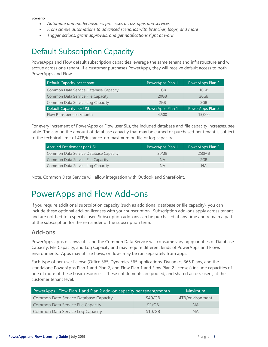Scenario:

- *Automate and model business processes across apps and services*
- *From simple automations to advanced scenarios with branches, loops, and more*
- *Trigger actions, grant approvals, and get notifications right at work*

## <span id="page-7-0"></span>Default Subscription Capacity

PowerApps and Flow default subscription capacities leverage the same tenant and infrastructure and will accrue across one tenant. If a customer purchases PowerApps, they will receive default access to both PowerApps and Flow.

| Default Capacity per tenant              | PowerApps Plan 1 | PowerApps Plan 2 |
|------------------------------------------|------------------|------------------|
| Common Data Service Database Capacity    | 1GB              | 10GB             |
| <b>Common Data Service File Capacity</b> | 20GB             | 20GB             |
| Common Data Service Log Capacity         | 2GB              | 2GB              |
| Default Capacity per USL                 | PowerApps Plan 1 | PowerApps Plan 2 |
| Flow Runs per user/month                 | 4,500            | 15,000           |

For every increment of PowerApps or Flow user SLs, the included database and file capacity increases, see table. The cap on the amount of database capacity that may be earned or purchased per tenant is subject to the technical limit of 4TB/instance, no maximum on file or log capacity.

| Accrued Entitlement per USL              | PowerApps Plan 1 | PowerApps Plan 2 |
|------------------------------------------|------------------|------------------|
| Common Data Service Database Capacity    | 20MB             | 250MB            |
| <b>Common Data Service File Capacity</b> | <b>NA</b>        | 2GB              |
| Common Data Service Log Capacity         | <b>NA</b>        | <b>NA</b>        |

Note, Common Data Service will allow integration with Outlook and SharePoint.

## <span id="page-7-1"></span>PowerApps and Flow Add-ons

If you require additional subscription capacity (such as additional database or file capacity), you can include these optional add-on licenses with your subscription. Subscription add-ons apply across tenant and are not tied to a specific user. Subscription add-ons can be purchased at any time and remain a part of the subscription for the remainder of the subscription term.

#### **Add-ons**

PowerApps apps or flows utilizing the Common Data Service will consume varying quantities of Database Capacity, File Capacity, and Log Capacity and may require different kinds of PowerApps and Flows environments. Apps may utilize flows, or flows may be run separately from apps.

Each type of per user license (Office 365, Dynamics 365 applications, Dynamics 365 Plans, and the standalone PowerApps Plan 1 and Plan 2, and Flow Plan 1 and Flow Plan 2 licenses) include capacities of one of more of these basic resources. These entitlements are pooled, and shared across users, at the customer tenant level.

| PowerApps   Flow Plan 1 and Plan 2 add-on capacity per tenant/month |         | Maximum         |
|---------------------------------------------------------------------|---------|-----------------|
| Common Date Service Database Capacity                               | \$40/GB | 4TB/environment |
| <b>Common Data Service File Capacity</b>                            | \$2/GB  | NA.             |
| Common Data Service Log Capacity                                    | \$10/GB | <b>NA</b>       |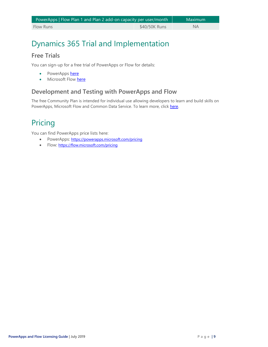| PowerApps   Flow Plan 1 and Plan 2 add-on capacity per user/month |               | Maximum   |
|-------------------------------------------------------------------|---------------|-----------|
| <b>Flow Runs</b>                                                  | \$40/50K Runs | <b>NA</b> |

## <span id="page-8-0"></span>Dynamics 365 Trial and Implementation

### **Free Trials**

You can sign-up for a free trial of PowerApps or Flow for details:

- PowerApps [here](https://signup.microsoft.com/Start?sku=powerapps_viral&ru=https%3a%2f%2fweb.powerapps.com%2flogin%2fportal)
- Microsoft Flow [here](https://preview.flow.microsoft.com/manage/)

### **Development and Testing with PowerApps and Flow**

The free Community Plan is intended for individual use allowing developers to learn and build skills on PowerApps, Microsoft Flow and Common Data Service. To learn more, click [here.](https://powerapps.microsoft.com/en-us/communityplan/)

## <span id="page-8-1"></span>Pricing

You can find PowerApps price lists here:

- PowerApps: <https://powerapps.microsoft.com/pricing>
- <span id="page-8-2"></span>• Flow: <https://flow.microsoft.com/pricing>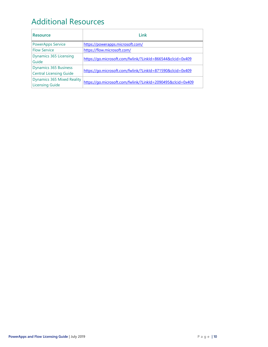## Additional Resources

<span id="page-9-0"></span>

| <b>Resource</b>                                                | Link                                                        |
|----------------------------------------------------------------|-------------------------------------------------------------|
| <b>PowerApps Service</b>                                       | https://powerapps.microsoft.com/                            |
| <b>Flow Service</b>                                            | https://flow.microsoft.com/                                 |
| <b>Dynamics 365 Licensing</b><br>Guide                         | https://go.microsoft.com/fwlink/?LinkId=866544&clcid=0x409  |
| <b>Dynamics 365 Business</b><br><b>Central Licensing Guide</b> | https://go.microsoft.com/fwlink/?LinkId=871590&clcid=0x409  |
| <b>Dynamics 365 Mixed Reality</b><br><b>Licensing Guide</b>    | https://go.microsoft.com/fwlink/?LinkId=2090495&clcid=0x409 |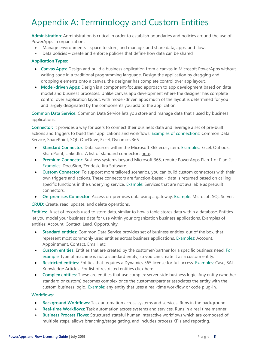# Appendix A**:** Terminology and Custom Entities

**Administration**: Administration is critical in order to establish boundaries and policies around the use of PowerApps in organizations

- Manage environments space to store, and manage, and share data, apps, and flows
- Data policies create and enforce policies that define how data can be shared

#### **Application Types:**

- **Canvas Apps:** Design and build a business application from a canvas in Microsoft PowerApps without writing code in a traditional programming language. Design the application by dragging and dropping elements onto a canvas, the designer has complete control over app layout.
- **Model-driven Apps:** Design is a component-focused approach to app development based on data model and business processes. Unlike canvas app development where the designer has complete control over application layout, with model-driven apps much of the layout is determined for you and largely designated by the components you add to the application.

**Common Data Service:** Common Data Service lets you store and manage data that's used by business applications.

**Connector:** It provides a way for users to connect their business data and leverage a set of pre-built actions and triggers to build their applications and workflows. Examples of connections: Common Data Service, SharePoint, SQL, OneDrive, Excel, Dynamics 365.

- **Standard Connector:** Data sources within the Microsoft 365 ecosystem. Examples: Excel, Outlook, SharePoint, LinkedIn. A list of standard connectors [here.](https://flow.microsoft.com/en-us/connectors/)
- **Premium Connector**: Business systems beyond Microsoft 365, require PowerApps Plan 1 or Plan 2. Examples: DocuSign, Zendesk, Jira Software.
- **Custom Connector**: To support more tailored scenarios, you can build custom connectors with their own triggers and actions. These connectors are function-based - data is returned based on calling specific functions in the underlying service. Example: Services that are not available as prebuilt connectors.
- **On-premises Connector**: Access on-premises data using a gateway. Example: Microsoft SQL Server.

**CRUD:** Create, read, update, and delete operations.

**Entities:** A set of records used to store data, similar to how a table stores data within a database. Entities let you model your business data for use within your organization business applications. Examples of entities: Account, Contact, Lead, Opportunity.

- **Standard entities:** Common Data Service provides set of business entities, out of the box, that represent most commonly used entities across business applications. Examples: Account, Appointment, Contact, Email, etc.
- **Custom entities:** Entities that are created by the customer/partner for a specific business need. For example, type of machine is not a standard entity, so you can create it as a custom entity.
- **Restricted entities:** Entities that requires a Dynamics 365 license for full access. Examples: Case, SAL, Knowledge Articles. For list of restricted entities click [here.](https://docs.microsoft.com/en-us/powerapps/maker/common-data-service/data-platform-restricted-entities)
- **Complex entities:** These are entities that use complex server-side business logic. Any entity (whether standard or custom) becomes complex once the customer/partner associates the entity with the custom business logic. Example: any entity that uses a real-time workflow or code plug-in.

#### **Workflows:**

- **Background Workflows:** Task automation across systems and services. Runs in the background.
- **Real-time Workflows:** Task automation across systems and services. Runs in a real time manner.
- **Business Process Flows:** Structured stateful human interactive workflows which are composed of multiple steps, allows branching/stage gating, and includes process KPIs and reporting.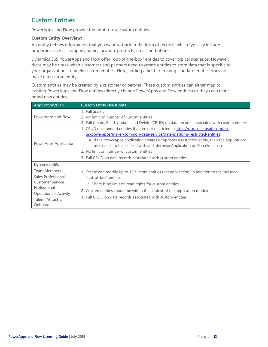### **Custom Entities**

PowerApps and Flow provide the right to use custom entities.

#### **Custom Entity Overview:**

An entity defines information that you want to track in the form of records, which typically include properties such as company name, location, products, email, and phone.

Dynamics 365 PowerApps and Flow offer "out-of-the-box" entities to cover typical scenarios. However, there may be times when customers and partners need to create entities to store data that is specific to your organization – namely custom entities. Note, adding a field to existing standard entities does not make it a custom entity.

Custom entities may be created by a customer or partner. These custom entities can either map to existing PowerApps and Flow entities (directly change PowerApps and Flow entities) or they can create brand new entities.

| <b>Application/Plan</b>                                                                                                                                 | <b>Custom Entity Use Rights</b>                                                                                                                                                                                                                                                                                                                                                                                                                                 |
|---------------------------------------------------------------------------------------------------------------------------------------------------------|-----------------------------------------------------------------------------------------------------------------------------------------------------------------------------------------------------------------------------------------------------------------------------------------------------------------------------------------------------------------------------------------------------------------------------------------------------------------|
| PowerApps and Flow                                                                                                                                      | 1. Full access<br>2. No limit on number of custom entities<br>3. Full Create, Read, Update, and Delete (CRUD) on data records associated with custom entities                                                                                                                                                                                                                                                                                                   |
| PowerApps Application                                                                                                                                   | 1. CRUD on standard entities that are not restricted - (https://docs.microsoft.com/en-<br>us/powerapps/maker/common-data-service/data-platform-restricted-entities)<br>a. If the PowerApps application creates or updates a restricted entity, then the application<br>user needs to be licensed with an Enterprise Application or Plan (Full user)<br>2. No limit on number of custom entities<br>3. Full CRUD on data records associated with custom entities |
| Dynamics 365:<br>Team Members<br>Sales Professional<br><b>Customer Service</b><br>Professional<br>Operations – Activity<br>Talent: Attract &<br>Onboard | 1. Create and modify up to 15 custom entities (per application) in addition to the included<br>"out-of-box" entities<br>a. There is no limit on read rights for custom entities<br>2. Custom entities should be within the context of the application module<br>3. Full CRUD on data records associated with custom entities                                                                                                                                    |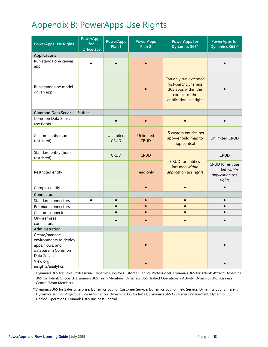# <span id="page-12-0"></span>Appendix B: PowerApps Use Rights

| <b>PowerApps Use Rights</b>                                                                                   | <b>PowerApps</b><br>for<br>Office 365 | <b>PowerApps</b><br>Plan 1 | <b>PowerApps</b><br>Plan <sub>2</sub> | <b>PowerApps for</b><br>Dynamics 365*                                                                           | <b>PowerApps for</b><br>Dynamics 365**                            |  |
|---------------------------------------------------------------------------------------------------------------|---------------------------------------|----------------------------|---------------------------------------|-----------------------------------------------------------------------------------------------------------------|-------------------------------------------------------------------|--|
| <b>Applications</b>                                                                                           |                                       |                            |                                       |                                                                                                                 |                                                                   |  |
| Run standalone canvas<br>app                                                                                  |                                       |                            | $\bullet$                             |                                                                                                                 |                                                                   |  |
| Run standalone model-<br>driven app                                                                           |                                       |                            |                                       | Can only run extended<br>first-party Dynamics<br>365 apps within the<br>context of the<br>application use right |                                                                   |  |
| <b>Common Data Service - Entities</b>                                                                         |                                       |                            |                                       |                                                                                                                 |                                                                   |  |
| Common Data Service<br>use rights                                                                             |                                       |                            |                                       |                                                                                                                 |                                                                   |  |
| Custom entity (non-<br>restricted)                                                                            |                                       | Unlimited<br><b>CRUD</b>   | <b>Unlimited</b><br><b>CRUD</b>       | 15 custom entities per<br>app-should map to<br>app context                                                      | <b>Unlimited CRUD</b>                                             |  |
| Standard entity (non-<br>restricted)                                                                          |                                       | <b>CRUD</b>                | <b>CRUD</b>                           |                                                                                                                 | <b>CRUD</b>                                                       |  |
| Restricted entity                                                                                             |                                       |                            | read only                             | <b>CRUD</b> for entities<br>included within<br>application use rights                                           | CRUD for entities<br>included within<br>application use<br>rights |  |
| Complex entity                                                                                                |                                       |                            |                                       |                                                                                                                 |                                                                   |  |
| Connectors                                                                                                    |                                       |                            |                                       |                                                                                                                 |                                                                   |  |
| Standard connectors                                                                                           | $\bullet$                             |                            |                                       |                                                                                                                 |                                                                   |  |
| Premium connectors                                                                                            |                                       |                            |                                       |                                                                                                                 |                                                                   |  |
| Custom connectors                                                                                             |                                       |                            |                                       |                                                                                                                 |                                                                   |  |
| On-premises                                                                                                   |                                       |                            |                                       |                                                                                                                 |                                                                   |  |
| connectors<br>Administration                                                                                  |                                       |                            |                                       |                                                                                                                 |                                                                   |  |
| Create/manage<br>environments to deploy<br>apps, flows, and<br>database in Common<br>Data Service<br>View org |                                       |                            |                                       |                                                                                                                 |                                                                   |  |
| insights/analytics                                                                                            |                                       |                            |                                       |                                                                                                                 |                                                                   |  |

\*Dynamics 365 for Sales Professional, Dynamics 365 for Customer Service Professional, Dynamics 365 for Talent: Attract, Dynamics 365 for Talent: Onboard, Dynamics 365 Team Members, Dynamics 365 Unified Operations - Activity, Dynamics 365 Business Central Team Members

\*\*Dynamics 365 for Sales Enterprise, Dynamics 365 for Customer Service, Dynamics 365 for Field Service, Dynamics 365 for Talent, Dynamics 365 for Project Service Automation, Dynamics 365 for Retail, Dynamics 365 Customer Engagement, Dynamics 365 Unified Operations, Dynamics 365 Business Central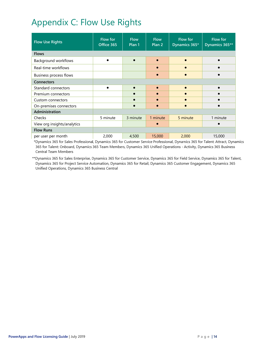# <span id="page-13-0"></span>Appendix C: Flow Use Rights

| <b>Flow Use Rights</b>        | <b>Flow for</b><br>Office 365 | <b>Flow</b><br>Plan 1 | <b>Flow</b><br>Plan <sub>2</sub> | <b>Flow for</b><br>Dynamics 365* | Flow for<br>Dynamics 365** |  |
|-------------------------------|-------------------------------|-----------------------|----------------------------------|----------------------------------|----------------------------|--|
| <b>Flows</b>                  |                               |                       |                                  |                                  |                            |  |
| Background workflows          |                               |                       |                                  |                                  |                            |  |
| Real-time workflows           |                               |                       |                                  |                                  |                            |  |
| <b>Business process flows</b> |                               |                       |                                  |                                  |                            |  |
| <b>Connectors</b>             |                               |                       |                                  |                                  |                            |  |
| Standard connectors           |                               | $\bullet$             |                                  |                                  | $\bullet$                  |  |
| Premium connectors            |                               |                       |                                  |                                  |                            |  |
| Custom connectors             |                               |                       |                                  |                                  |                            |  |
| On-premises connectors        |                               |                       |                                  |                                  |                            |  |
| Administration                |                               |                       |                                  |                                  |                            |  |
| Checks                        | 5 minute                      | 3 minute              | 1 minute                         | 5 minute                         | 1 minute                   |  |
| View org insights/analytics   |                               |                       |                                  |                                  |                            |  |
| <b>Flow Runs</b>              |                               |                       |                                  |                                  |                            |  |
| per user per month            | 2,000                         | 4,500                 | 15,000                           | 2,000                            | 15,000                     |  |

\*Dynamics 365 for Sales Professional, Dynamics 365 for Customer Service Professional, Dynamics 365 for Talent: Attract, Dynamics 365 for Talent: Onboard, Dynamics 365 Team Members, Dynamics 365 Unified Operations - Activity, Dynamics 365 Business Central Team Members

\*\*Dynamics 365 for Sales Enterprise, Dynamics 365 for Customer Service, Dynamics 365 for Field Service, Dynamics 365 for Talent, Dynamics 365 for Project Service Automation, Dynamics 365 for Retail, Dynamics 365 Customer Engagement, Dynamics 365 Unified Operations, Dynamics 365 Business Central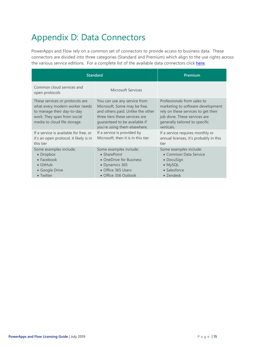# <span id="page-14-0"></span>Appendix D: Data Connectors

PowerApps and Flow rely on a common set of connectors to provide access to business data. These connectors are divided into three categories (Standard and Premium) which align to the use rights across the various service editions. For a complete list of the available data connectors click [here.](https://flow.microsoft.com/en-us/connectors/?filter=&category=all)

|                                                                                                                                                                | <b>Standard</b>                                                                                                                                                                                      | Premium                                                                                                                                                                                 |  |  |  |
|----------------------------------------------------------------------------------------------------------------------------------------------------------------|------------------------------------------------------------------------------------------------------------------------------------------------------------------------------------------------------|-----------------------------------------------------------------------------------------------------------------------------------------------------------------------------------------|--|--|--|
| Common cloud services and<br>open protocols                                                                                                                    | Microsoft Services                                                                                                                                                                                   |                                                                                                                                                                                         |  |  |  |
| These services or protocols are<br>what every modern worker needs<br>to manage their day-to-day<br>work. They span from social<br>media to cloud file storage. | You can use any service from<br>Microsoft. Some may be free,<br>and others paid. Unlike the other<br>three tiers these services are<br>quaranteed to be available if<br>you're using them elsewhere. | Professionals from sales to<br>marketing to software development<br>rely on these services to get their<br>job done. These services are<br>generally tailored to specific<br>verticals. |  |  |  |
| If a service is available for free, or<br>it's an open protocol, it likely is in<br>this tier                                                                  | If a service is provided by<br>Microsoft, then it is in this tier.                                                                                                                                   | If a service requires monthly or<br>annual licenses, it's probably in this<br>tier                                                                                                      |  |  |  |
| Some examples include:<br>• Dropbox<br>$\bullet$ Facebook<br>$\bullet$ GitHub<br>• Google Drive<br>• Twitter                                                   | Some examples include:<br>• SharePoint<br>• OneDrive for Business<br>• Dynamics 365<br>• Office 365 Users<br>• Office 356 Outlook                                                                    | Some examples include:<br>• Common Data Service<br>• DocuSign<br>• MySQL<br>• Salesforce<br>• Zendesk                                                                                   |  |  |  |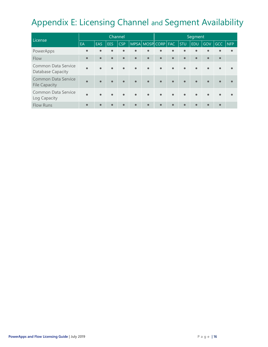# <span id="page-15-0"></span>Appendix E: Licensing Channel and Segment Availability

| License                                            | Channel   |           |            |            | Segment   |                         |           |           |           |            |           |            |            |
|----------------------------------------------------|-----------|-----------|------------|------------|-----------|-------------------------|-----------|-----------|-----------|------------|-----------|------------|------------|
|                                                    | EA        | EAS.      | <b>EES</b> | <b>CSP</b> |           | MPSA MOSP CORP FAC      |           |           | STU       | <b>EDU</b> | GOV       | <b>GCC</b> | <b>NFP</b> |
| PowerApps                                          |           | $\bullet$ | $\bullet$  | $\bullet$  | $\bullet$ | $\bullet$               | $\bullet$ | $\bullet$ | $\bullet$ | $\bullet$  | $\bullet$ | $\bullet$  |            |
| Flow                                               | $\bullet$ | $\bullet$ | $\bullet$  | $\bullet$  | $\bullet$ | $\bullet$               | $\bullet$ | $\bullet$ | $\bullet$ | $\bullet$  | $\bullet$ | $\bullet$  |            |
| Common Data Service<br>Database Capacity           | $\bullet$ |           | $\bullet$  | $\bullet$  | $\bullet$ | $\bullet$               | $\bullet$ | $\bullet$ | $\bullet$ | $\bullet$  | $\bullet$ | $\bullet$  |            |
| <b>Common Data Service</b><br><b>File Capacity</b> | $\bullet$ |           | $\bullet$  | $\bullet$  | $\bullet$ | $\bullet$               | $\bullet$ | $\bullet$ | $\bullet$ | $\bullet$  | $\bullet$ | $\bullet$  |            |
| Common Data Service<br>Log Capacity                |           |           | $\bullet$  | $\bullet$  | $\bullet$ | $\qquad \qquad \bullet$ | $\bullet$ | $\bullet$ | $\bullet$ | $\bullet$  | $\bullet$ | $\bullet$  |            |
| <b>Flow Runs</b>                                   |           | $\bullet$ | $\bullet$  | $\bullet$  | $\bullet$ | $\bullet$               | $\bullet$ | $\bullet$ | $\bullet$ | $\bullet$  | $\bullet$ | $\bullet$  |            |